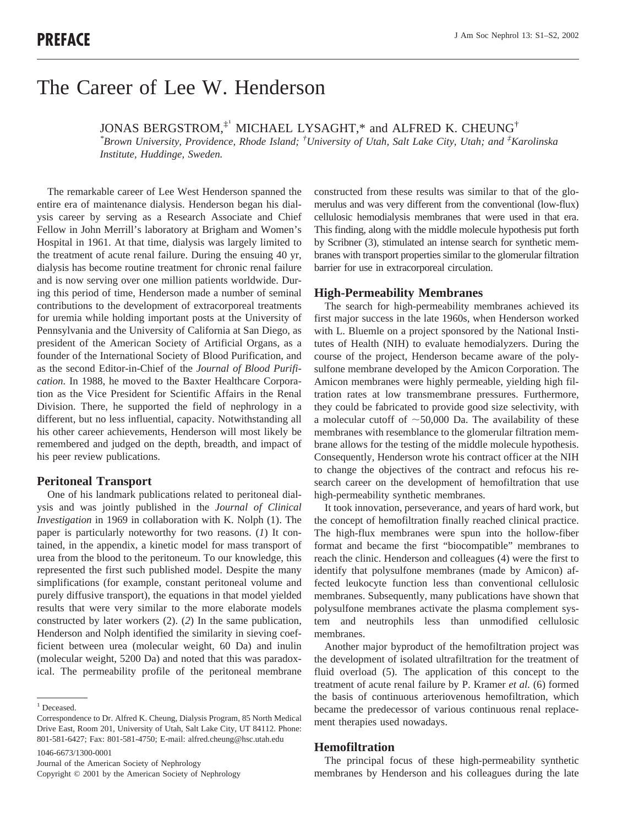# The Career of Lee W. Henderson

JONAS BERGSTROM, $^{\ddagger}$  MICHAEL LYSAGHT,\* and ALFRED K. CHEUNG<sup>†</sup>

*\* Brown University, Providence, Rhode Island; † University of Utah, Salt Lake City, Utah; and ‡ Karolinska Institute, Huddinge, Sweden.*

The remarkable career of Lee West Henderson spanned the entire era of maintenance dialysis. Henderson began his dialysis career by serving as a Research Associate and Chief Fellow in John Merrill's laboratory at Brigham and Women's Hospital in 1961. At that time, dialysis was largely limited to the treatment of acute renal failure. During the ensuing 40 yr, dialysis has become routine treatment for chronic renal failure and is now serving over one million patients worldwide. During this period of time, Henderson made a number of seminal contributions to the development of extracorporeal treatments for uremia while holding important posts at the University of Pennsylvania and the University of California at San Diego, as president of the American Society of Artificial Organs, as a founder of the International Society of Blood Purification, and as the second Editor-in-Chief of the *Journal of Blood Purification.* In 1988, he moved to the Baxter Healthcare Corporation as the Vice President for Scientific Affairs in the Renal Division. There, he supported the field of nephrology in a different, but no less influential, capacity. Notwithstanding all his other career achievements, Henderson will most likely be remembered and judged on the depth, breadth, and impact of his peer review publications.

### **Peritoneal Transport**

One of his landmark publications related to peritoneal dialysis and was jointly published in the *Journal of Clinical Investigation* in 1969 in collaboration with K. Nolph (1). The paper is particularly noteworthy for two reasons. (*1*) It contained, in the appendix, a kinetic model for mass transport of urea from the blood to the peritoneum. To our knowledge, this represented the first such published model. Despite the many simplifications (for example, constant peritoneal volume and purely diffusive transport), the equations in that model yielded results that were very similar to the more elaborate models constructed by later workers (2). (*2*) In the same publication, Henderson and Nolph identified the similarity in sieving coefficient between urea (molecular weight, 60 Da) and inulin (molecular weight, 5200 Da) and noted that this was paradoxical. The permeability profile of the peritoneal membrane

1046-6673/1300-0001 Journal of the American Society of Nephrology Copyright © 2001 by the American Society of Nephrology constructed from these results was similar to that of the glomerulus and was very different from the conventional (low-flux) cellulosic hemodialysis membranes that were used in that era. This finding, along with the middle molecule hypothesis put forth by Scribner (3), stimulated an intense search for synthetic membranes with transport properties similar to the glomerular filtration barrier for use in extracorporeal circulation.

#### **High-Permeability Membranes**

The search for high-permeability membranes achieved its first major success in the late 1960s, when Henderson worked with L. Bluemle on a project sponsored by the National Institutes of Health (NIH) to evaluate hemodialyzers. During the course of the project, Henderson became aware of the polysulfone membrane developed by the Amicon Corporation. The Amicon membranes were highly permeable, yielding high filtration rates at low transmembrane pressures. Furthermore, they could be fabricated to provide good size selectivity, with a molecular cutoff of  $\sim$  50,000 Da. The availability of these membranes with resemblance to the glomerular filtration membrane allows for the testing of the middle molecule hypothesis. Consequently, Henderson wrote his contract officer at the NIH to change the objectives of the contract and refocus his research career on the development of hemofiltration that use high-permeability synthetic membranes.

It took innovation, perseverance, and years of hard work, but the concept of hemofiltration finally reached clinical practice. The high-flux membranes were spun into the hollow-fiber format and became the first "biocompatible" membranes to reach the clinic. Henderson and colleagues (4) were the first to identify that polysulfone membranes (made by Amicon) affected leukocyte function less than conventional cellulosic membranes. Subsequently, many publications have shown that polysulfone membranes activate the plasma complement system and neutrophils less than unmodified cellulosic membranes.

Another major byproduct of the hemofiltration project was the development of isolated ultrafiltration for the treatment of fluid overload (5). The application of this concept to the treatment of acute renal failure by P. Kramer *et al.* (6) formed the basis of continuous arteriovenous hemofiltration, which became the predecessor of various continuous renal replacement therapies used nowadays.

### **Hemofiltration**

The principal focus of these high-permeability synthetic membranes by Henderson and his colleagues during the late

<sup>&</sup>lt;sup>1</sup> Deceased.

Correspondence to Dr. Alfred K. Cheung, Dialysis Program, 85 North Medical Drive East, Room 201, University of Utah, Salt Lake City, UT 84112. Phone: 801-581-6427; Fax: 801-581-4750; E-mail: alfred.cheung@hsc.utah.edu